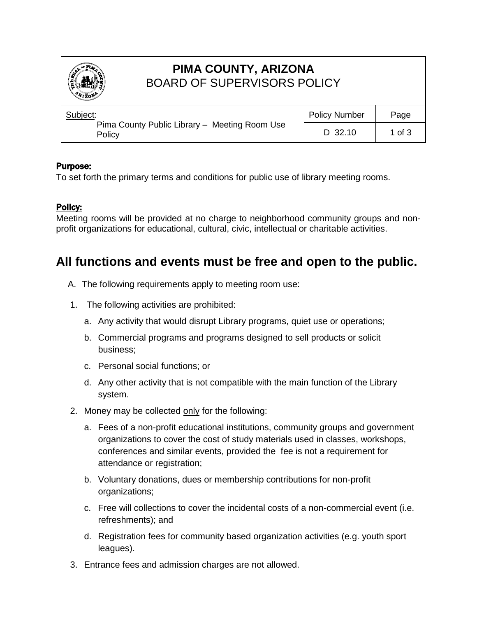

# **PIMA COUNTY, ARIZONA** BOARD OF SUPERVISORS POLICY

| Subject:<br>Pima County Public Library - Meeting Room Use<br>Policy | <b>Policy Number</b> | Page       |
|---------------------------------------------------------------------|----------------------|------------|
|                                                                     | $D$ 32.10            | $1$ of $3$ |

### Purpose:

To set forth the primary terms and conditions for public use of library meeting rooms.

### Policy:

Meeting rooms will be provided at no charge to neighborhood community groups and nonprofit organizations for educational, cultural, civic, intellectual or charitable activities.

## **All functions and events must be free and open to the public.**

- A. The following requirements apply to meeting room use:
- 1. The following activities are prohibited:
	- a. Any activity that would disrupt Library programs, quiet use or operations;
	- b. Commercial programs and programs designed to sell products or solicit business;
	- c. Personal social functions; or
	- d. Any other activity that is not compatible with the main function of the Library system.
- 2. Money may be collected only for the following:
	- a. Fees of a non-profit educational institutions, community groups and government organizations to cover the cost of study materials used in classes, workshops, conferences and similar events, provided the fee is not a requirement for attendance or registration;
	- b. Voluntary donations, dues or membership contributions for non-profit organizations;
	- c. Free will collections to cover the incidental costs of a non-commercial event (i.e. refreshments); and
	- d. Registration fees for community based organization activities (e.g. youth sport leagues).
- 3. Entrance fees and admission charges are not allowed.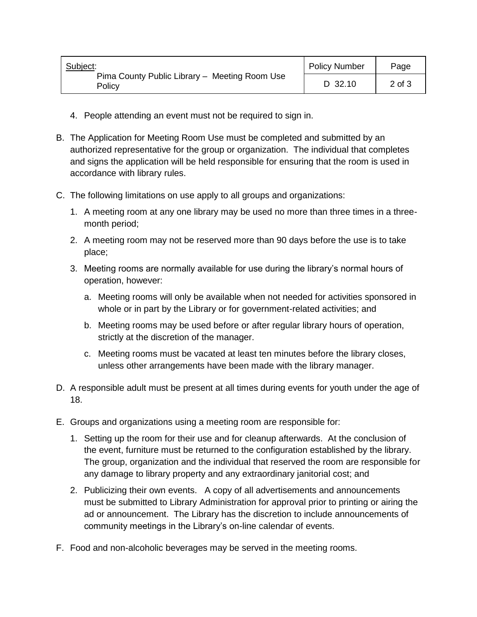| Subject:<br>Pima County Public Library - Meeting Room Use<br>Policv | <b>Policy Number</b> | Page       |
|---------------------------------------------------------------------|----------------------|------------|
|                                                                     | D 32.10              | $2$ of $3$ |

- 4. People attending an event must not be required to sign in.
- B. The Application for Meeting Room Use must be completed and submitted by an authorized representative for the group or organization. The individual that completes and signs the application will be held responsible for ensuring that the room is used in accordance with library rules.
- C. The following limitations on use apply to all groups and organizations:
	- 1. A meeting room at any one library may be used no more than three times in a threemonth period;
	- 2. A meeting room may not be reserved more than 90 days before the use is to take place;
	- 3. Meeting rooms are normally available for use during the library's normal hours of operation, however:
		- a. Meeting rooms will only be available when not needed for activities sponsored in whole or in part by the Library or for government-related activities; and
		- b. Meeting rooms may be used before or after regular library hours of operation, strictly at the discretion of the manager.
		- c. Meeting rooms must be vacated at least ten minutes before the library closes, unless other arrangements have been made with the library manager.
- D. A responsible adult must be present at all times during events for youth under the age of 18.
- E. Groups and organizations using a meeting room are responsible for:
	- 1. Setting up the room for their use and for cleanup afterwards. At the conclusion of the event, furniture must be returned to the configuration established by the library. The group, organization and the individual that reserved the room are responsible for any damage to library property and any extraordinary janitorial cost; and
	- 2. Publicizing their own events. A copy of all advertisements and announcements must be submitted to Library Administration for approval prior to printing or airing the ad or announcement. The Library has the discretion to include announcements of community meetings in the Library's on-line calendar of events.
- F. Food and non-alcoholic beverages may be served in the meeting rooms.